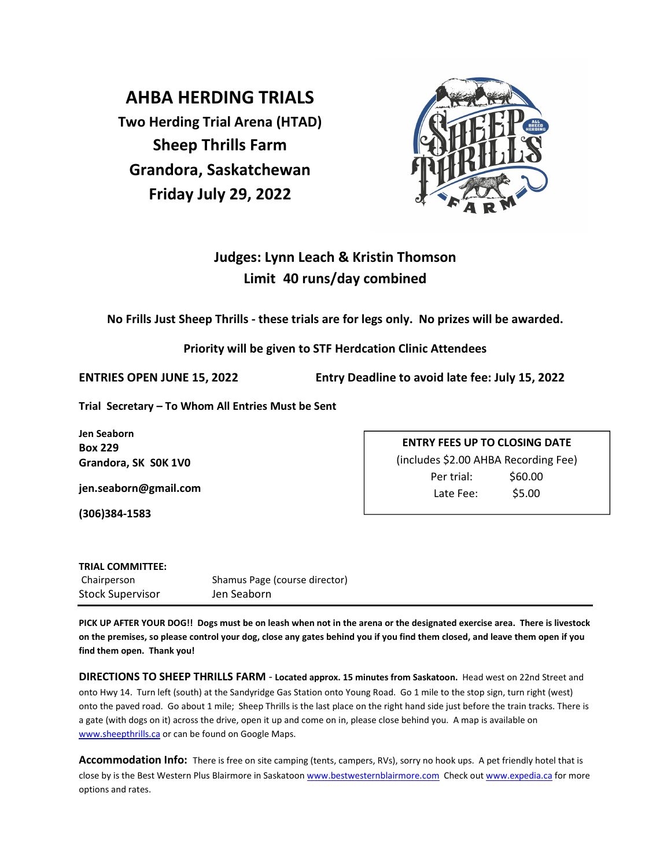## AHBA HERDING TRIALS

Two Herding Trial Arena (HTAD) Sheep Thrills Farm Grandora, Saskatchewan Friday July 29, 2022



## Judges: Lynn Leach & Kristin Thomson Limit 40 runs/day combined

No Frills Just Sheep Thrills - these trials are for legs only. No prizes will be awarded.

## Priority will be given to STF Herdcation Clinic Attendees

ENTRIES OPEN JUNE 15, 2022 Entry Deadline to avoid late fee: July 15, 2022

Trial Secretary – To Whom All Entries Must be Sent

Jen Seaborn Box 229 Grandora, SK S0K 1V0

jen.seaborn@gmail.com

(306)384-1583

ENTRY FEES UP TO CLOSING DATE (includes \$2.00 AHBA Recording Fee) Per trial: \$60.00 Late Fee: \$5.00

| <b>TRIAL COMMITTEE:</b> |                               |
|-------------------------|-------------------------------|
| Chairperson             | Shamus Page (course director) |
| <b>Stock Supervisor</b> | Jen Seaborn                   |

PICK UP AFTER YOUR DOG!! Dogs must be on leash when not in the arena or the designated exercise area. There is livestock on the premises, so please control your dog, close any gates behind you if you find them closed, and leave them open if you find them open. Thank you!

DIRECTIONS TO SHEEP THRILLS FARM - Located approx. 15 minutes from Saskatoon. Head west on 22nd Street and onto Hwy 14. Turn left (south) at the Sandyridge Gas Station onto Young Road. Go 1 mile to the stop sign, turn right (west) onto the paved road. Go about 1 mile; Sheep Thrills is the last place on the right hand side just before the train tracks. There is a gate (with dogs on it) across the drive, open it up and come on in, please close behind you. A map is available on www.sheepthrills.ca or can be found on Google Maps.

Accommodation Info: There is free on site camping (tents, campers, RVs), sorry no hook ups. A pet friendly hotel that is close by is the Best Western Plus Blairmore in Saskatoon www.bestwesternblairmore.com Check out www.expedia.ca for more options and rates.